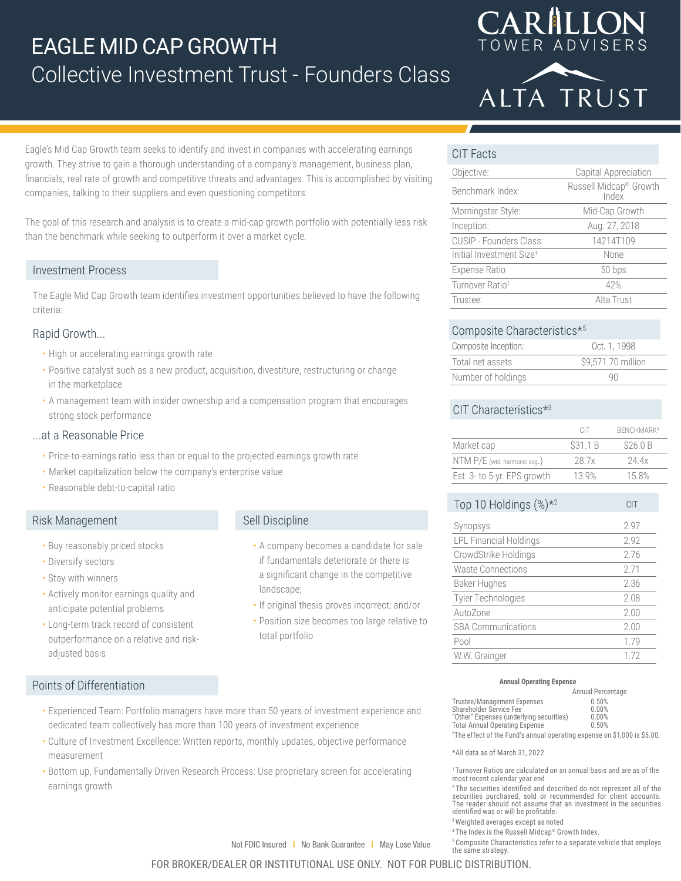# EAGLE MID CAP GROWTH Collective Investment Trust - Founders Class





Eagle's Mid Cap Growth team seeks to identify and invest in companies with accelerating earnings growth. They strive to gain a thorough understanding of a company's management, business plan, financials, real rate of growth and competitive threats and advantages. This is accomplished by visiting companies, talking to their suppliers and even questioning competitors.

The goal of this research and analysis is to create a mid-cap growth portfolio with potentially less risk than the benchmark while seeking to outperform it over a market cycle.

## Investment Process

The Eagle Mid Cap Growth team identifies investment opportunities believed to have the following criteria:

## Rapid Growth...

- High or accelerating earnings growth rate
- Positive catalyst such as a new product, acquisition, divestiture, restructuring or change in the marketplace
- A management team with insider ownership and a compensation program that encourages strong stock performance

• Experienced Team: Portfolio managers have more than 50 years of investment experience and

• Culture of Investment Excellence: Written reports, monthly updates, objective performance

• Bottom up, Fundamentally Driven Research Process: Use proprietary screen for accelerating

dedicated team collectively has more than 100 years of investment experience

## ...at a Reasonable Price

- Price-to-earnings ratio less than or equal to the projected earnings growth rate
- Market capitalization below the company's enterprise value
- Reasonable debt-to-capital ratio

## Risk Management

- Buy reasonably priced stocks
- Diversify sectors
- Stay with winners

Points of Differentiation

measurement

earnings growth

- Actively monitor earnings quality and anticipate potential problems
- Long-term track record of consistent outperformance on a relative and riskadjusted basis

# Sell Discipline

- A company becomes a candidate for sale if fundamentals deteriorate or there is a significant change in the competitive landscape;
- If original thesis proves incorrect; and/or
- Position size becomes too large relative to total portfolio

# CIT Facts

| Objective:                           | Capital Appreciation            |  |  |  |  |
|--------------------------------------|---------------------------------|--|--|--|--|
| Benchmark Index:                     | Russell Midcap® Growth<br>Index |  |  |  |  |
| Morningstar Style:                   | Mid-Cap Growth                  |  |  |  |  |
| Inception:                           | Aug. 27, 2018                   |  |  |  |  |
| CUSIP - Founders Class:              | 14214T109                       |  |  |  |  |
| Initial Investment Size <sup>+</sup> | None                            |  |  |  |  |
| Expense Ratio                        | 50 bps                          |  |  |  |  |
| Turnover Ratio <sup>1</sup>          | 42%                             |  |  |  |  |
| Trustee:                             | Alta Trust                      |  |  |  |  |

## Composite Characteristics\*5

| Composite Inception: | Oct. 1, 1998       |
|----------------------|--------------------|
| Total net assets     | \$9,571.70 million |
| Number of holdings   | 90                 |

# CIT Characteristics<sup>\*3</sup>

|                              | CIT      | BFNCHMARK <sup>4</sup> |
|------------------------------|----------|------------------------|
| Market cap                   | \$31.1 B | \$26.0 B               |
| NTM P/E (wtd. harmonic avg.) | 28 7x    | 24 4x                  |
| Est. 3- to 5-yr. EPS growth  | 13.9%    | 158%                   |

| Top 10 Holdings $(\%)^{\star 2}$ | <b>CIT</b> |  |  |
|----------------------------------|------------|--|--|
| Synopsys                         | 2.97       |  |  |
| <b>LPL Financial Holdings</b>    | 2.92       |  |  |
| CrowdStrike Holdings             | 276        |  |  |
| <b>Waste Connections</b>         | 271        |  |  |
| Baker Hughes                     | 2.36       |  |  |
| <b>Tyler Technologies</b>        | 2.08       |  |  |
| AutoZone                         | 2.00       |  |  |
| <b>SBA Communications</b>        | 2.00       |  |  |
| Pool                             | 1.79       |  |  |
| W.W. Grainger                    | 172        |  |  |

### **Annual Operating Expense**

|                                                                          | Annual Percentage |
|--------------------------------------------------------------------------|-------------------|
| Trustee/Management Expenses                                              | 0.50%             |
| Shareholder Service Fee                                                  | 0.00%             |
| "Other" Expenses (underlying securities)                                 | 0.00%             |
| <b>Total Annual Operating Expense</b>                                    | 0.50%             |
| $\pm 1$ if $\pm 1$ is the contract of $\pm 1$ is the contract of $\pm 1$ |                   |

† The effect of the Fund's annual operating expense on \$1,000 is \$5.00.

\*All data as of March 31, 2022

1 Turnover Ratios are calculated on an annual basis and are as of the most recent calendar year end

<sup>2</sup>The securities identified and described do not represent all of the securities purchased, sold or recommended for client accounts. The reader should not assume that an investment in the securities identified was or will be profitable.

3 Weighted averages except as noted

the same strategy.

4 The Index is the Russell Midcap® Growth Index. 5 Composite Characteristics refer to a separate vehicle that employs

FOR BROKER/DEALER OR INSTITUTIONAL USE ONLY. NOT FOR PUBLIC DISTRIBUTION.

Not FDIC Insured | No Bank Guarantee | May Lose Value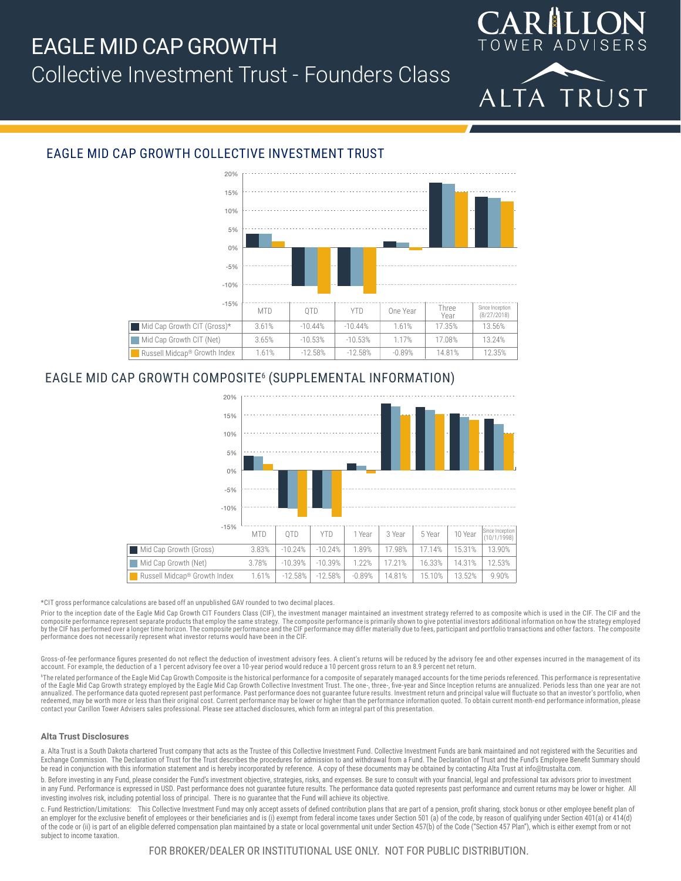# EAGLE MID CAP GROWTH Collective Investment Trust - Founders Class





# EAGLE MID CAP GROWTH COLLECTIVE INVESTMENT TRUST



# EAGLE MID CAP GROWTH COMPOSITE6 (SUPPLEMENTAL INFORMATION)



\*CIT gross performance calculations are based off an unpublished GAV rounded to two decimal places.

Prior to the inception date of the Eagle Mid Cap Growth CIT Founders Class (CIF), the investment manager maintained an investment strategy referred to as composite which is used in the CIF. The CIF and the composite performance represent separate products that employ the same strategy. The composite performance is primarily shown to give potential investors additional information on how the strategy employed<br>by the CIF has p performance does not necessarily represent what investor returns would have been in the CIF.

Gross-of-fee performance figures presented do not reflect the deduction of investment advisory fees. A client's returns will be reduced by the advisory fee and other expenses incurred in the management of its<br>account. For

6 The related performance of the Eagle Mid Cap Growth Composite is the historical performance for a composite of separately managed accounts for the time periods referenced. This performance is representative of the Eagle Mid Cap Growth strategy employed by the Eagle Mid Cap Growth Collective Investment Trust. The one-, three-, five-year and Since Inception returns are annualized. Periods less than one year are not<br>annualized. redeemed, may be worth more or less than their original cost. Current performance may be lower or higher than the performance information quoted. To obtain current month-end performance information, please contact your Carillon Tower Advisers sales professional. Please see attached disclosures, which form an integral part of this presentation.

### **Alta Trust Disclosures**

a. Alta Trust is a South Dakota chartered Trust company that acts as the Trustee of this Collective Investment Fund. Collective Investment Funds are bank maintained and not registered with the Securities and Exchange Commission. The Declaration of Trust for the Trust describes the procedures for admission to and withdrawal from a Fund. The Declaration of Trust and the Fund's Employee Benefit Summary should be read in conjunction with this information statement and is hereby incorporated by reference. A copy of these documents may be obtained by contacting Alta Trust at info@trustalta.com

b. Before investing in any Fund, please consider the Fund's investment objective, strategies, risks, and expenses. Be sure to consult with your financial, legal and professional tax advisors prior to investment in any Fund. Performance is expressed in USD. Past performance does not guarantee future results. The performance data quoted represents past performance and current returns may be lower or higher. All investing involves risk, including potential loss of principal. There is no guarantee that the Fund will achieve its objective.

c. Fund Restriction/Limitations: This Collective Investment Fund may only accept assets of defined contribution plans that are part of a pension, profit sharing, stock bonus or other employee benefit plan of an employer for the exclusive benefit of employees or their beneficiaries and is (i) exempt from federal income taxes under Section 501 (a) of the code, by reason of qualifying under Section 401(a) or 414(d) of the code or (ii) is part of an eligible deferred compensation plan maintained by a state or local governmental unit under Section 457(b) of the Code ("Section 457 Plan"), which is either exempt from or not subject to income taxation.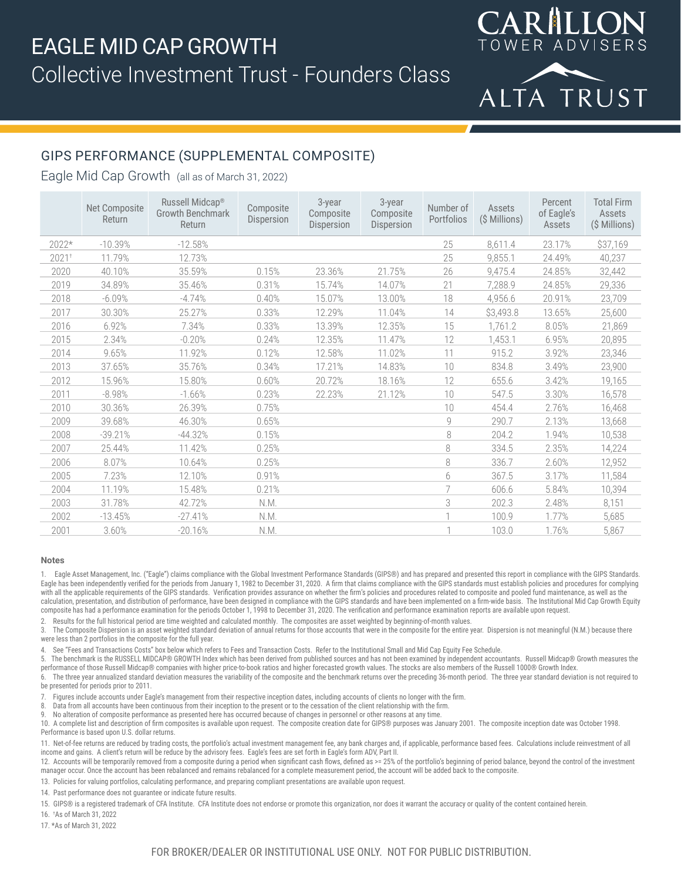

 $\bigcap$   $A$ 

RILION

# GIPS PERFORMANCE (SUPPLEMENTAL COMPOSITE)

## Eagle Mid Cap Growth (all as of March 31, 2022)

|                   | Net Composite<br>Return | Russell Midcap®<br><b>Growth Benchmark</b><br>Return | Composite<br>Dispersion | 3-year<br>Composite<br>Dispersion | $3$ -year<br>Composite<br>Dispersion | Number of<br>Portfolios | Assets<br>(\$ Millions) | Percent<br>of Eagle's<br>Assets | <b>Total Firm</b><br>Assets<br>(\$ Millions) |
|-------------------|-------------------------|------------------------------------------------------|-------------------------|-----------------------------------|--------------------------------------|-------------------------|-------------------------|---------------------------------|----------------------------------------------|
| 2022*             | $-10.39%$               | $-12.58%$                                            |                         |                                   |                                      | 25                      | 8,611.4                 | 23.17%                          | \$37,169                                     |
| 2021 <sup>†</sup> | 11.79%                  | 12.73%                                               |                         |                                   |                                      | 25                      | 9,855.1                 | 24.49%                          | 40,237                                       |
| 2020              | 40.10%                  | 35.59%                                               | 0.15%                   | 23.36%                            | 21.75%                               | 26                      | 9,475.4                 | 24.85%                          | 32,442                                       |
| 2019              | 34.89%                  | 35.46%                                               | 0.31%                   | 15.74%                            | 14.07%                               | 21                      | 7,288.9                 | 24.85%                          | 29,336                                       |
| 2018              | $-6.09%$                | $-4.74%$                                             | 0.40%                   | 15.07%                            | 13.00%                               | 18                      | 4,956.6                 | 20.91%                          | 23,709                                       |
| 2017              | 30.30%                  | 25.27%                                               | 0.33%                   | 12.29%                            | 11.04%                               | 14                      | \$3,493.8               | 13.65%                          | 25,600                                       |
| 2016              | 6.92%                   | 7.34%                                                | 0.33%                   | 13.39%                            | 12.35%                               | 15                      | 1,761.2                 | 8.05%                           | 21,869                                       |
| 2015              | 2.34%                   | $-0.20%$                                             | 0.24%                   | 12.35%                            | 11.47%                               | 12                      | 1,453.1                 | 6.95%                           | 20,895                                       |
| 2014              | 9.65%                   | 11.92%                                               | 0.12%                   | 12.58%                            | 11.02%                               | 11                      | 915.2                   | 3.92%                           | 23,346                                       |
| 2013              | 37.65%                  | 35.76%                                               | 0.34%                   | 17.21%                            | 14.83%                               | 10                      | 834.8                   | 3.49%                           | 23,900                                       |
| 2012              | 15.96%                  | 15.80%                                               | 0.60%                   | 20.72%                            | 18.16%                               | 12                      | 655.6                   | 3.42%                           | 19,165                                       |
| 2011              | $-8.98%$                | $-1.66%$                                             | 0.23%                   | 22.23%                            | 21.12%                               | 10                      | 547.5                   | 3.30%                           | 16,578                                       |
| 2010              | 30.36%                  | 26.39%                                               | 0.75%                   |                                   |                                      | 10                      | 454.4                   | 2.76%                           | 16,468                                       |
| 2009              | 39.68%                  | 46.30%                                               | 0.65%                   |                                   |                                      | 9                       | 290.7                   | 2.13%                           | 13,668                                       |
| 2008              | $-39.21%$               | $-44.32%$                                            | 0.15%                   |                                   |                                      | 8                       | 204.2                   | 1.94%                           | 10,538                                       |
| 2007              | 25.44%                  | 11.42%                                               | 0.25%                   |                                   |                                      | 8                       | 334.5                   | 2.35%                           | 14,224                                       |
| 2006              | 8.07%                   | 10.64%                                               | 0.25%                   |                                   |                                      | 8                       | 336.7                   | 2.60%                           | 12,952                                       |
| 2005              | 7.23%                   | 12.10%                                               | 0.91%                   |                                   |                                      | 6                       | 367.5                   | 3.17%                           | 11,584                                       |
| 2004              | 11.19%                  | 15.48%                                               | 0.21%                   |                                   |                                      |                         | 606.6                   | 5.84%                           | 10,394                                       |
| 2003              | 31.78%                  | 42.72%                                               | N.M.                    |                                   |                                      | 3                       | 202.3                   | 2.48%                           | 8,151                                        |
| 2002              | $-13.45%$               | $-27.41%$                                            | N.M.                    |                                   |                                      |                         | 100.9                   | 1.77%                           | 5,685                                        |
| 2001              | 3.60%                   | $-20.16%$                                            | N.M.                    |                                   |                                      |                         | 103.0                   | 1.76%                           | 5,867                                        |

### **Notes**

1. Eagle Asset Management, Inc. ("Eagle") claims compliance with the Global Investment Performance Standards (GIPS®) and has prepared and presented this report in compliance with the GIPS Standards. Eagle has been independently verified for the periods from January 1, 1982 to December 31, 2020. A firm that claims compliance with the GIPS standards must establish policies and procedures for complying with all the applicable requirements of the GIPS standards. Verification provides assurance on whether the firm's policies and procedures related to composite and pooled fund maintenance, as well as the calculation, presentation, and distribution of performance, have been designed in compliance with the GIPS standards and have been implemented on a firm-wide basis. The Institutional Mid Cap Growth Equity composite has had a performance examination for the periods October 1, 1998 to December 31, 2020. The verification and performance examination reports are available upon request.

2. Results for the full historical period are time weighted and calculated monthly. The composites are asset weighted by beginning-of-month values.

3. The Composite Dispersion is an asset weighted standard deviation of annual returns for those accounts that were in the composite for the entire year. Dispersion is not meaningful (N.M.) because there were less than 2 portfolios in the composite for the full year.

See "Fees and Transactions Costs" box below which refers to Fees and Transaction Costs. Refer to the Institutional Small and Mid Cap Equity Fee Schedule.

5. The benchmark is the RUSSELL MIDCAP® GROWTH Index which has been derived from published sources and has not been examined by independent accountants. Russell Midcap® Growth measures the performance of those Russell Midcap® companies with higher price-to-book ratios and higher forecasted growth values. The stocks are also members of the Russell 1000® Growth Index.

6. The three year annualized standard deviation measures the variability of the composite and the benchmark returns over the preceding 36-month period. The three year standard deviation is not required to be presented for periods prior to 2011.

7. Figures include accounts under Eagle's management from their respective inception dates, including accounts of clients no longer with the firm.

8. Data from all accounts have been continuous from their inception to the present or to the cessation of the client relationship with the firm.

9. No alteration of composite performance as presented here has occurred because of changes in personnel or other reasons at any time.

10. A complete list and description of firm composites is available upon request. The composite creation date for GIPS® purposes was January 2001. The composite inception date was October 1998. Performance is based upon U.S. dollar returns.

11. Net-of-fee returns are reduced by trading costs, the portfolio's actual investment management fee, any bank charges and, if applicable, performance based fees. Calculations include reinvestment of all income and gains. A client's return will be reduce by the advisory fees. Eagle's fees are set forth in Eagle's form ADV, Part II.

12. Accounts will be temporarily removed from a composite during a period when significant cash flows, defined as >= 25% of the portfolio's beginning of period balance, beyond the control of the investment manager occur. Once the account has been rebalanced and remains rebalanced for a complete measurement period, the account will be added back to the composite.

13. Policies for valuing portfolios, calculating performance, and preparing compliant presentations are available upon request.

14. Past performance does not guarantee or indicate future results.

15. GIPS® is a registered trademark of CFA Institute. CFA Institute does not endorse or promote this organization, nor does it warrant the accuracy or quality of the content contained herein.

16. † As of March 31, 2022

17. \*As of March 31, 2022